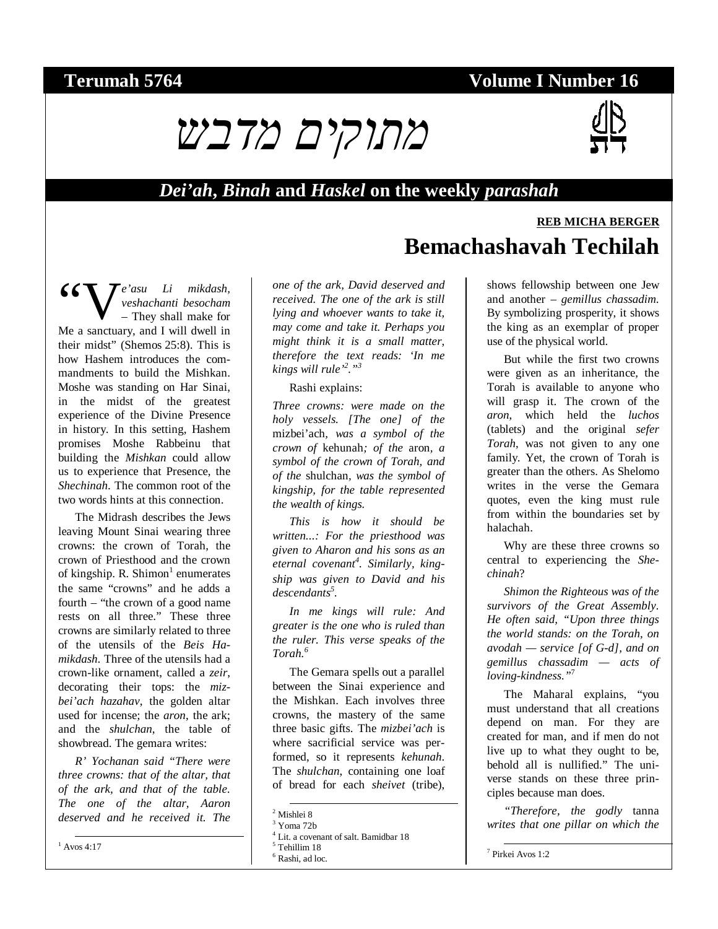### **Terumah 5764 Volume I Number 16**





**REB MICHA BERGER**

#### *Dei'ah***,** *Binah* **and** *Haskel* **on the weekly** *parashah*

*e'asu Li mikdash, veshachanti besocham* – They shall make for Me a sanctuary, and I will dwell in "Vtheir midst" (Shemos 25:8). This is how Hashem introduces the commandments to build the Mishkan. Moshe was standing on Har Sinai, in the midst of the greatest experience of the Divine Presence in history. In this setting, Hashem promises Moshe Rabbeinu that building the *Mishkan* could allow us to experience that Presence, the *Shechinah*. The common root of the two words hints at this connection.

The Midrash describes the Jews leaving Mount Sinai wearing three crowns: the crown of Torah, the crown of Priesthood and the crown of kingship. R. Shimon<sup>1</sup> enumerates the same "crowns" and he adds a fourth – "the crown of a good name rests on all three." These three crowns are similarly related to three of the utensils of the *Beis Hamikdash*. Three of the utensils had a crown-like ornament, called a *zeir*, decorating their tops: the *mizbei'ach hazahav*, the golden altar used for incense; the *aron*, the ark; and the *shulchan*, the table of showbread. The gemara writes:

*R' Yochanan said "There were three crowns: that of the altar, that of the ark, and that of the table. The one of the altar, Aaron deserved and he received it. The* 

 $^{1}$  Avos 4:17

*one of the ark, David deserved and received. The one of the ark is still lying and whoever wants to take it, may come and take it. Perhaps you might think it is a small matter, therefore the text reads: 'In me kings will rule'2 ."3*

Rashi explains:

*Three crowns: were made on the holy vessels. [The one] of the*  mizbei'ach*, was a symbol of the crown of* kehunah*; of the* aron*, a symbol of the crown of Torah, and of the* shulchan*, was the symbol of kingship, for the table represented the wealth of kings.* 

*This is how it should be written...: For the priesthood was given to Aharon and his sons as an eternal covenant<sup>4</sup> . Similarly, kingship was given to David and his descendants5 .* 

*In me kings will rule: And greater is the one who is ruled than the ruler. This verse speaks of the Torah.<sup>6</sup>*

The Gemara spells out a parallel between the Sinai experience and the Mishkan. Each involves three crowns, the mastery of the same three basic gifts. The *mizbei'ach* is where sacrificial service was performed, so it represents *kehunah*. The *shulchan*, containing one loaf of bread for each *sheivet* (tribe),

shows fellowship between one Jew and another – *gemillus chassadim*. By symbolizing prosperity, it shows the king as an exemplar of proper use of the physical world.

**Bemachashavah Techilah** 

But while the first two crowns were given as an inheritance, the Torah is available to anyone who will grasp it. The crown of the *aron*, which held the *luchos* (tablets) and the original *sefer Torah*, was not given to any one family. Yet, the crown of Torah is greater than the others. As Shelomo writes in the verse the Gemara quotes, even the king must rule from within the boundaries set by halachah.

Why are these three crowns so central to experiencing the *Shechinah*?

*Shimon the Righteous was of the survivors of the Great Assembly. He often said, "Upon three things the world stands: on the Torah, on avodah — service [of G-d], and on gemillus chassadim — acts of loving-kindness."*<sup>7</sup>

The Maharal explains, "you must understand that all creations depend on man. For they are created for man, and if men do not live up to what they ought to be, behold all is nullified." The universe stands on these three principles because man does.

*"Therefore, the godly* tanna *writes that one pillar on which the* 

 <sup>2</sup> Mishlei 8

 $3$  Yoma 72b

<sup>4</sup> Lit. a covenant of salt. Bamidbar 18

<sup>5</sup> Tehillim 18

<sup>6</sup> Rashi, ad loc.

 <sup>7</sup> Pirkei Avos 1:2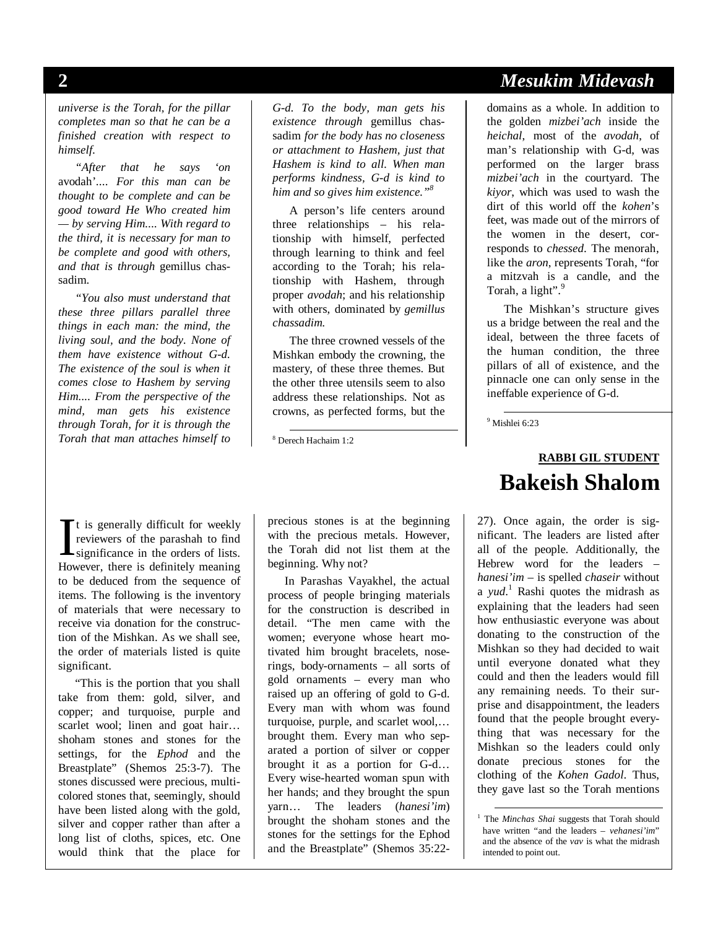*universe is the Torah, for the pillar completes man so that he can be a finished creation with respect to himself.* 

*"After that he says 'on*  avodah'*.... For this man can be thought to be complete and can be good toward He Who created him — by serving Him.... With regard to the third, it is necessary for man to be complete and good with others, and that is through* gemillus chassadim*.* 

*"You also must understand that these three pillars parallel three things in each man: the mind, the living soul, and the body. None of them have existence without G-d. The existence of the soul is when it comes close to Hashem by serving Him.... From the perspective of the mind, man gets his existence through Torah, for it is through the Torah that man attaches himself to* 

*G-d. To the body, man gets his existence through* gemillus chassadim *for the body has no closeness or attachment to Hashem, just that Hashem is kind to all. When man performs kindness, G-d is kind to him and so gives him existence."8*

A person's life centers around three relationships – his relationship with himself, perfected through learning to think and feel according to the Torah; his relationship with Hashem, through proper *avodah*; and his relationship with others, dominated by *gemillus chassadim.*

The three crowned vessels of the Mishkan embody the crowning, the mastery, of these three themes. But the other three utensils seem to also address these relationships. Not as crowns, as perfected forms, but the

8 Derech Hachaim 1:2

t is generally difficult for weekly reviewers of the parashah to find  $\prod$ t is generally difficult for weekly<br>reviewers of the parashah to find<br>significance in the orders of lists.<br>However, there is definitely meaning. However, there is definitely meaning to be deduced from the sequence of items. The following is the inventory of materials that were necessary to receive via donation for the construction of the Mishkan. As we shall see, the order of materials listed is quite significant.

"This is the portion that you shall take from them: gold, silver, and copper; and turquoise, purple and scarlet wool; linen and goat hair... shoham stones and stones for the settings, for the *Ephod* and the Breastplate" (Shemos 25:3-7). The stones discussed were precious, multicolored stones that, seemingly, should have been listed along with the gold, silver and copper rather than after a long list of cloths, spices, etc. One would think that the place for

precious stones is at the beginning with the precious metals. However, the Torah did not list them at the beginning. Why not?

In Parashas Vayakhel, the actual process of people bringing materials for the construction is described in detail. "The men came with the women; everyone whose heart motivated him brought bracelets, noserings, body-ornaments – all sorts of gold ornaments – every man who raised up an offering of gold to G-d. Every man with whom was found turquoise, purple, and scarlet wool,… brought them. Every man who separated a portion of silver or copper brought it as a portion for G-d… Every wise-hearted woman spun with her hands; and they brought the spun yarn… The leaders (*hanesi'im*) brought the shoham stones and the stones for the settings for the Ephod and the Breastplate" (Shemos 35:22-

### **2** *Mesukim Midevash*

domains as a whole. In addition to the golden *mizbei'ach* inside the *heichal*, most of the *avodah*, of man's relationship with G-d, was performed on the larger brass *mizbei'ach* in the courtyard. The *kiyor*, which was used to wash the dirt of this world off the *kohen*'s feet, was made out of the mirrors of the women in the desert, corresponds to *chessed*. The menorah, like the *aron*, represents Torah, "for a mitzvah is a candle, and the Torah, a light".<sup>9</sup>

The Mishkan's structure gives us a bridge between the real and the ideal, between the three facets of the human condition, the three pillars of all of existence, and the pinnacle one can only sense in the ineffable experience of G-d.

9 Mishlei 6:23

### **RABBI GIL STUDENT Bakeish Shalom**

27). Once again, the order is significant. The leaders are listed after all of the people. Additionally, the Hebrew word for the leaders – *hanesi'im* – is spelled *chaseir* without a *yud*. 1 Rashi quotes the midrash as explaining that the leaders had seen how enthusiastic everyone was about donating to the construction of the Mishkan so they had decided to wait until everyone donated what they could and then the leaders would fill any remaining needs. To their surprise and disappointment, the leaders found that the people brought everything that was necessary for the Mishkan so the leaders could only donate precious stones for the clothing of the *Kohen Gadol*. Thus, they gave last so the Torah mentions

<sup>1</sup> The *Minchas Shai* suggests that Torah should have written "and the leaders – *vehanesi'im*" and the absence of the *vav* is what the midrash intended to point out.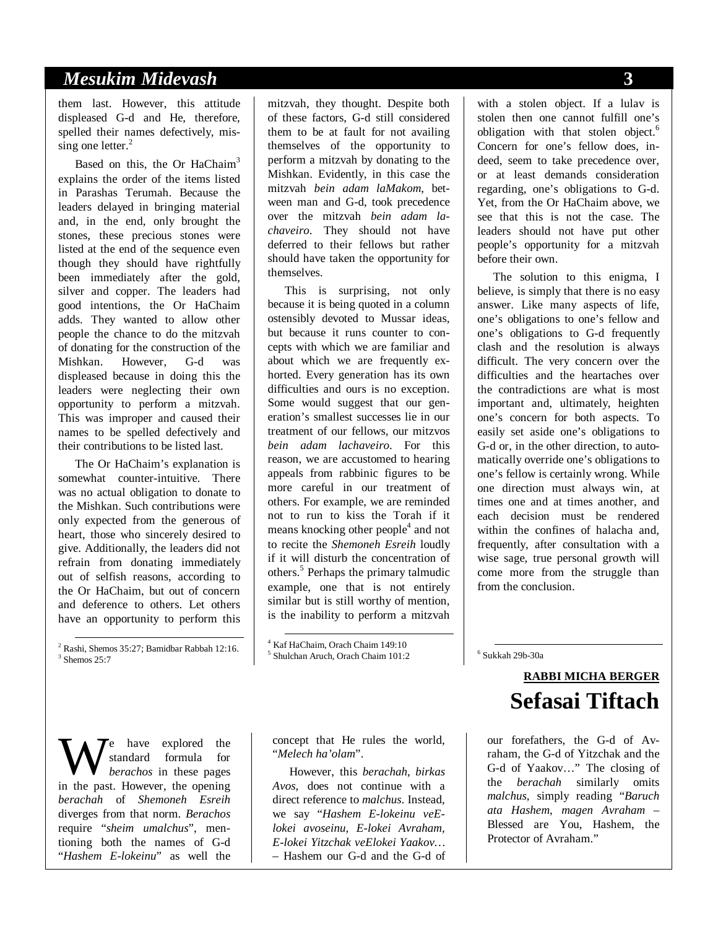#### *Mesukim Midevash* **3**

them last. However, this attitude displeased G-d and He, therefore, spelled their names defectively, missing one letter.<sup>2</sup>

Based on this, the Or HaChaim<sup>3</sup> explains the order of the items listed in Parashas Terumah. Because the leaders delayed in bringing material and, in the end, only brought the stones, these precious stones were listed at the end of the sequence even though they should have rightfully been immediately after the gold, silver and copper. The leaders had good intentions, the Or HaChaim adds. They wanted to allow other people the chance to do the mitzvah of donating for the construction of the Mishkan. However, G-d was displeased because in doing this the leaders were neglecting their own opportunity to perform a mitzvah. This was improper and caused their names to be spelled defectively and their contributions to be listed last.

The Or HaChaim's explanation is somewhat counter-intuitive. There was no actual obligation to donate to the Mishkan. Such contributions were only expected from the generous of heart, those who sincerely desired to give. Additionally, the leaders did not refrain from donating immediately out of selfish reasons, according to the Or HaChaim, but out of concern and deference to others. Let others have an opportunity to perform this

 2 Rashi, Shemos 35:27; Bamidbar Rabbah 12:16.  $3$  Shemos 25:7

e have explored the standard formula for *berachos* in these pages We have explored the standard formula for berachos in these pages in the past. However, the opening *berachah* of *Shemoneh Esreih* diverges from that norm. *Berachos* require "*sheim umalchus*", mentioning both the names of G-d "*Hashem E-lokeinu*" as well the

mitzvah, they thought. Despite both of these factors, G-d still considered them to be at fault for not availing themselves of the opportunity to perform a mitzvah by donating to the Mishkan. Evidently, in this case the mitzvah *bein adam laMakom*, between man and G-d, took precedence over the mitzvah *bein adam lachaveiro*. They should not have deferred to their fellows but rather should have taken the opportunity for themselves.

This is surprising, not only because it is being quoted in a column ostensibly devoted to Mussar ideas, but because it runs counter to concepts with which we are familiar and about which we are frequently exhorted. Every generation has its own difficulties and ours is no exception. Some would suggest that our generation's smallest successes lie in our treatment of our fellows, our mitzvos *bein adam lachaveiro*. For this reason, we are accustomed to hearing appeals from rabbinic figures to be more careful in our treatment of others. For example, we are reminded not to run to kiss the Torah if it means knocking other people<sup>4</sup> and not to recite the *Shemoneh Esreih* loudly if it will disturb the concentration of others.<sup>5</sup> Perhaps the primary talmudic example, one that is not entirely similar but is still worthy of mention, is the inability to perform a mitzvah

 4 Kaf HaChaim, Orach Chaim 149:10 5 Shulchan Aruch, Orach Chaim 101:2

concept that He rules the world, "*Melech ha'olam*".

However, this *berachah*, *birkas Avos*, does not continue with a direct reference to *malchus*. Instead, we say "*Hashem E-lokeinu veElokei avoseinu, E-lokei Avraham, E-lokei Yitzchak veElokei Yaakov…* – Hashem our G-d and the G-d of

with a stolen object. If a lulav is stolen then one cannot fulfill one's obligation with that stolen object.<sup>6</sup> Concern for one's fellow does, indeed, seem to take precedence over, or at least demands consideration regarding, one's obligations to G-d. Yet, from the Or HaChaim above, we see that this is not the case. The leaders should not have put other people's opportunity for a mitzvah before their own.

The solution to this enigma, I believe, is simply that there is no easy answer. Like many aspects of life, one's obligations to one's fellow and one's obligations to G-d frequently clash and the resolution is always difficult. The very concern over the difficulties and the heartaches over the contradictions are what is most important and, ultimately, heighten one's concern for both aspects. To easily set aside one's obligations to G-d or, in the other direction, to automatically override one's obligations to one's fellow is certainly wrong. While one direction must always win, at times one and at times another, and each decision must be rendered within the confines of halacha and, frequently, after consultation with a wise sage, true personal growth will come more from the struggle than from the conclusion.

6 Sukkah 29b-30a

# **RABBI MICHA BERGER Sefasai Tiftach**

our forefathers, the G-d of Avraham, the G-d of Yitzchak and the G-d of Yaakov…" The closing of the *berachah* similarly omits *malchus*, simply reading "*Baruch ata Hashem, magen Avraham –* Blessed are You, Hashem, the Protector of Avraham."